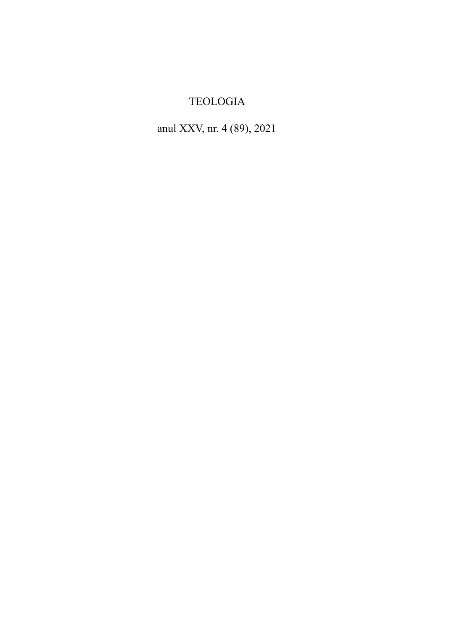# TEOLOGIA

# anul XXV, nr. 4 (89), 2021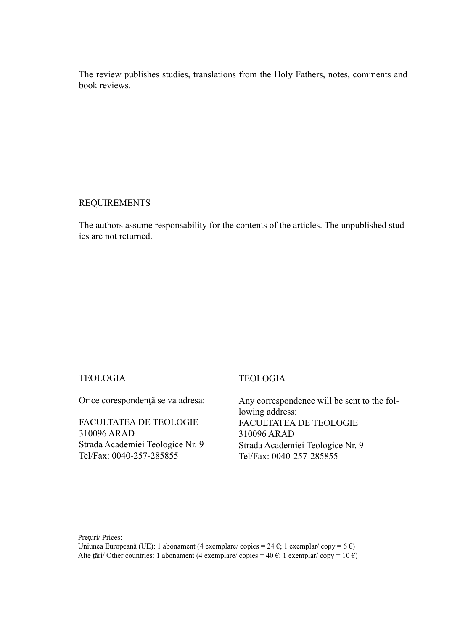The review publishes studies, translations from the Holy Fathers, notes, comments and book reviews.

## REQUIREMENTS

The authors assume responsability for the contents of the articles. The unpublished studies are not returned.

## TEOLOGIA

Orice corespondenţă se va adresa:

FACULTATEA DE TEOLOGIE 310096 ARAD Strada Academiei Teologice Nr. 9 Tel/Fax: 0040-257-285855

## TEOLOGIA

Any correspondence will be sent to the following address: FACULTATEA DE TEOLOGIE 310096 ARAD Strada Academiei Teologice Nr. 9 Tel/Fax: 0040-257-285855

Preturi/ Prices:

Uniunea Europeană (UE): 1 abonament (4 exemplare/ copies = 24 €; 1 exemplar/ copy = 6 €) Alte țări/ Other countries: 1 abonament (4 exemplare/ copies = 40 €; 1 exemplar/ copy = 10 €)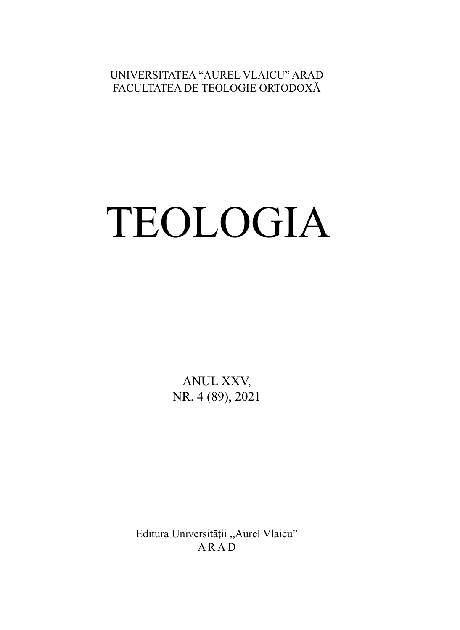UNIVERSITATEA "AUREL VLAICU" ARAD FACULTATEA DE TEOLOGIE ORTODOXĂ

# TEOLOGIA

ANUL XXV, NR. 4 (89), 2021

Editura Universității "Aurel Vlaicu" ARAD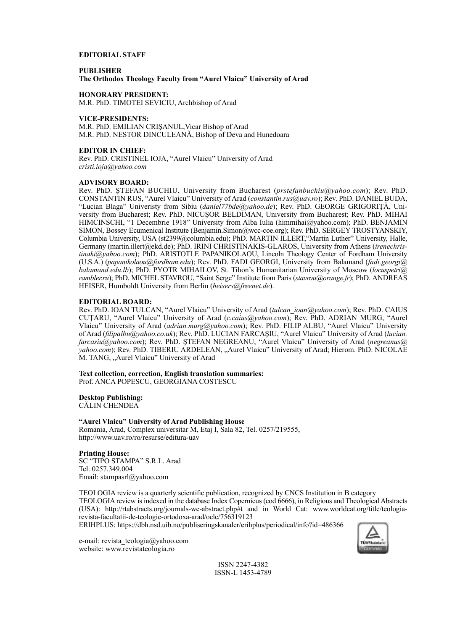#### **EDITORIAL STAFF**

**PUBLISHER The Orthodox Theology Faculty from "Aurel Vlaicu" University of Arad**

**HONORARY PRESIDENT:**

M.R. PhD. TIMOTEI SEVICIU, Archbishop of Arad

#### **VICE-PRESIDENTS:**

M.R. PhD. EMILIAN CRIŞANUL,Vicar Bishop of Arad M.R. PhD. NESTOR DINCULEANĂ, Bishop of Deva and Hunedoara

#### **EDITOR IN CHIEF:**

Rev. PhD. CRISTINEL IOJA, "Aurel Vlaicu" University of Arad *cristi.ioja@yahoo.com*

#### **ADVISORY BOARD:**

Rev. PhD. ŞTEFAN BUCHIU, University from Bucharest (*prstefanbuchiu@yahoo.com*); Rev. PhD. CONSTANTIN RUS, "Aurel Vlaicu" University of Arad (*constantin.rus@uav.ro*); Rev. PhD. DANIEL BUDA, "Lucian Blaga" Univeristy from Sibiu (*daniel77bde@yahoo.de*); Rev. PhD. GEORGE GRIGORIŢĂ, University from Bucharest; Rev. PhD. NICUŞOR BELDIMAN, University from Bucharest; Rev. PhD. MIHAI HIMCINSCHI, "1 Decembrie 1918" University from Alba Iulia (himmihai@yahoo.com); PhD. BENJAMIN SIMON, Bossey Ecumenical Institute (Benjamin.Simon@wcc-coe.org); Rev. PhD. SERGEY TROSTYANSKIY, Columbia University, USA (st2399@columbia.edu); PhD. MARTIN ILLERT,"Martin Luther" University, Halle, Germany (martin.illert@ekd.de); PhD. IRINI CHRISTINAKIS-GLAROS, University from Athens (*irenechristinaki@yahoo.com*); PhD. ARISTOTLE PAPANIKOLAOU, Lincoln Theology Center of Fordham University (U.S.A.) (*papanikolaou@fordham.edu*); Rev. PhD. FADI GEORGI, University from Balamand (*fadi.georgi@ balamand.edu.lb*); PhD. PYOTR MIHAILOV, St. Tihon's Humanitarian University of Moscow (*locuspetri@ rambler.ru*); PhD. MICHEL STAVROU, "Saint Serge" Institute from Paris (*stavrou@orange.fr*); PhD. ANDREAS HEISER, Humboldt University from Berlin (*heisers@freenet.de*).

#### **EDITORIAL BOARD:**

Rev. PhD. IOAN TULCAN, "Aurel Vlaicu" University of Arad (*tulcan\_ioan@yahoo.com*); Rev. PhD. CAIUS CUŢARU, "Aurel Vlaicu" University of Arad (*c.caius@yahoo.com*); Rev. PhD. ADRIAN MURG, "Aurel Vlaicu" University of Arad (*adrian.murg@yahoo.com*); Rev. PhD. FILIP ALBU, "Aurel Vlaicu" University of Arad (*fi lipalbu@yahoo.co.uk*); Rev. PhD. LUCIAN FARCAŞIU, "Aurel Vlaicu" University of Arad (*lucian. farcasiu@yahoo.com*); Rev. PhD. ŞTEFAN NEGREANU, "Aurel Vlaicu" University of Arad (*negreanus@ yahoo.com*); Rev. PhD. TIBERIU ARDELEAN, "Aurel Vlaicu" University of Arad; Hierom. PhD. NICOLAE M. TANG, "Aurel Vlaicu" University of Arad

# **Text collection, correction, English translation summaries:**

Prof. ANCA POPESCU, GEORGIANA COSTESCU

**Desktop Publishing:**

CĂLIN CHENDEA

#### **"Aurel Vlaicu" University of Arad Publishing House**

Romania, Arad, Complex universitar M, Etaj I, Sala 82, Tel. 0257/219555, http://www.uav.ro/ro/resurse/editura-uav

#### **Printing House:**

SC "TIPO STAMPA" S.R.L. Arad Tel. 0257.349.004 Email: stampasrl@yahoo.com

TEOLOGIA review is a quarterly scientific publication, recognized by CNCS Institution in B category TEOLOGIA review is indexed in the database Index Copernicus (cod 6666), in Religious and Theological Abstracts (USA): http://rtabstracts.org/journals-we-abstract.php#t and in World Cat: www.worldcat.org/title/teologiarevista-facultatii-de-teologie-ortodoxa-arad/oclc/756319123

ERIHPLUS: https://dbh.nsd.uib.no/publiseringskanaler/erihplus/periodical/info?id=486366



e-mail: revista\_teologia@yahoo.com website: www.revistateologia.ro

> ISSN 2247-4382 ISSN-L 1453-4789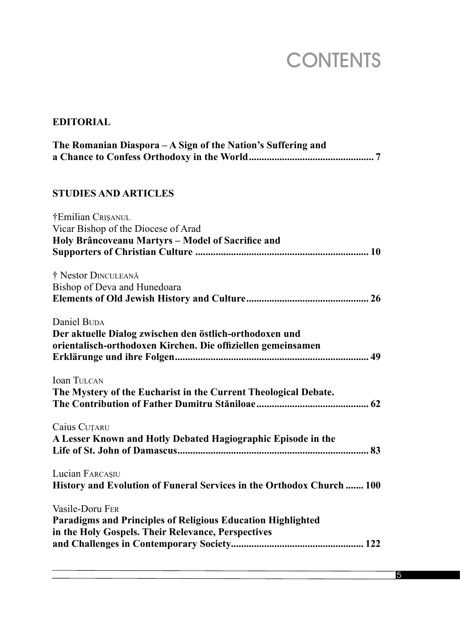# **CONTENTS**

# **EDITORIAL**

| The Romanian Diaspora - A Sign of the Nation's Suffering and                                                                           |
|----------------------------------------------------------------------------------------------------------------------------------------|
| <b>STUDIES AND ARTICLES</b>                                                                                                            |
| †Emilian CRISANUL<br>Vicar Bishop of the Diocese of Arad<br>Holy Brâncoveanu Martyrs - Model of Sacrifice and                          |
| † Nestor DINCULEANĂ<br>Bishop of Deva and Hunedoara                                                                                    |
| Daniel BUDA<br>Der aktuelle Dialog zwischen den östlich-orthodoxen und<br>orientalisch-orthodoxen Kirchen. Die offiziellen gemeinsamen |
| <b>Ioan TULCAN</b><br>The Mystery of the Eucharist in the Current Theological Debate.                                                  |
| Caius CUȚARU<br>A Lesser Known and Hotly Debated Hagiographic Episode in the                                                           |
| Lucian FARCAȘIU<br>History and Evolution of Funeral Services in the Orthodox Church  100                                               |
| Vasile-Doru FER<br>Paradigms and Principles of Religious Education Highlighted<br>in the Holy Gospels. Their Relevance, Perspectives   |